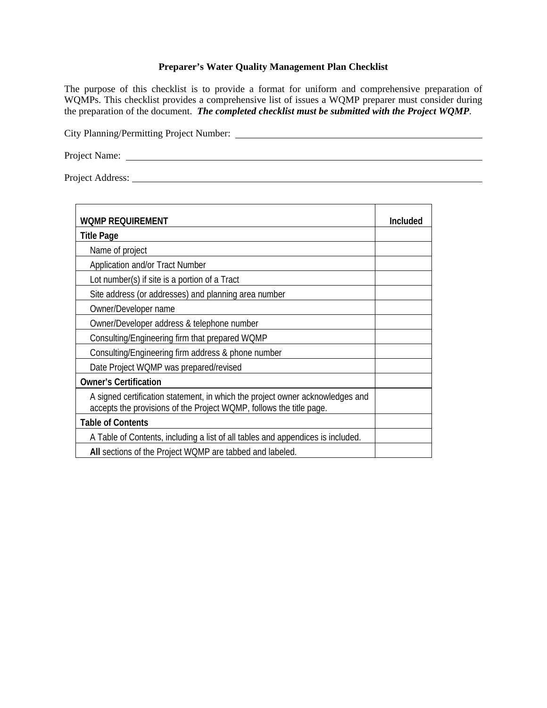## **Preparer's Water Quality Management Plan Checklist**

The purpose of this checklist is to provide a format for uniform and comprehensive preparation of WQMPs. This checklist provides a comprehensive list of issues a WQMP preparer must consider during the preparation of the document. *The completed checklist must be submitted with the Project WQMP*.

City Planning/Permitting Project Number:

Project Name:

Project Address:

| <b>WOMP REQUIREMENT</b>                                                                                                                              | Included |
|------------------------------------------------------------------------------------------------------------------------------------------------------|----------|
| <b>Title Page</b>                                                                                                                                    |          |
| Name of project                                                                                                                                      |          |
| Application and/or Tract Number                                                                                                                      |          |
| Lot number(s) if site is a portion of a Tract                                                                                                        |          |
| Site address (or addresses) and planning area number                                                                                                 |          |
| Owner/Developer name                                                                                                                                 |          |
| Owner/Developer address & telephone number                                                                                                           |          |
| Consulting/Engineering firm that prepared WQMP                                                                                                       |          |
| Consulting/Engineering firm address & phone number                                                                                                   |          |
| Date Project WQMP was prepared/revised                                                                                                               |          |
| <b>Owner's Certification</b>                                                                                                                         |          |
| A signed certification statement, in which the project owner acknowledges and<br>accepts the provisions of the Project WQMP, follows the title page. |          |
| <b>Table of Contents</b>                                                                                                                             |          |
| A Table of Contents, including a list of all tables and appendices is included.                                                                      |          |
| All sections of the Project WQMP are tabbed and labeled.                                                                                             |          |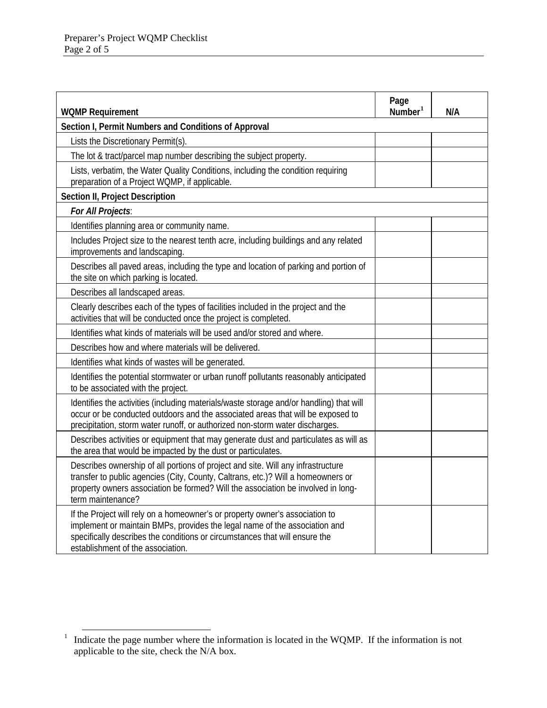| <b>WQMP Requirement</b>                                                                                                                                                                                                                                                        | Page<br>Number <sup>1</sup> | N/A |
|--------------------------------------------------------------------------------------------------------------------------------------------------------------------------------------------------------------------------------------------------------------------------------|-----------------------------|-----|
| Section I, Permit Numbers and Conditions of Approval                                                                                                                                                                                                                           |                             |     |
| Lists the Discretionary Permit(s).                                                                                                                                                                                                                                             |                             |     |
| The lot & tract/parcel map number describing the subject property.                                                                                                                                                                                                             |                             |     |
| Lists, verbatim, the Water Quality Conditions, including the condition requiring<br>preparation of a Project WQMP, if applicable.                                                                                                                                              |                             |     |
| Section II, Project Description                                                                                                                                                                                                                                                |                             |     |
| For All Projects:                                                                                                                                                                                                                                                              |                             |     |
| Identifies planning area or community name.                                                                                                                                                                                                                                    |                             |     |
| Includes Project size to the nearest tenth acre, including buildings and any related<br>improvements and landscaping.                                                                                                                                                          |                             |     |
| Describes all paved areas, including the type and location of parking and portion of<br>the site on which parking is located.                                                                                                                                                  |                             |     |
| Describes all landscaped areas.                                                                                                                                                                                                                                                |                             |     |
| Clearly describes each of the types of facilities included in the project and the<br>activities that will be conducted once the project is completed.                                                                                                                          |                             |     |
| Identifies what kinds of materials will be used and/or stored and where.                                                                                                                                                                                                       |                             |     |
| Describes how and where materials will be delivered.                                                                                                                                                                                                                           |                             |     |
| Identifies what kinds of wastes will be generated.                                                                                                                                                                                                                             |                             |     |
| Identifies the potential stormwater or urban runoff pollutants reasonably anticipated<br>to be associated with the project.                                                                                                                                                    |                             |     |
| Identifies the activities (including materials/waste storage and/or handling) that will<br>occur or be conducted outdoors and the associated areas that will be exposed to<br>precipitation, storm water runoff, or authorized non-storm water discharges.                     |                             |     |
| Describes activities or equipment that may generate dust and particulates as will as<br>the area that would be impacted by the dust or particulates.                                                                                                                           |                             |     |
| Describes ownership of all portions of project and site. Will any infrastructure<br>transfer to public agencies (City, County, Caltrans, etc.)? Will a homeowners or<br>property owners association be formed? Will the association be involved in long-<br>term maintenance?  |                             |     |
| If the Project will rely on a homeowner's or property owner's association to<br>implement or maintain BMPs, provides the legal name of the association and<br>specifically describes the conditions or circumstances that will ensure the<br>establishment of the association. |                             |     |

<span id="page-1-0"></span><sup>&</sup>lt;sup>1</sup> Indicate the page number where the information is located in the WQMP. If the information is not applicable to the site, check the N/A box.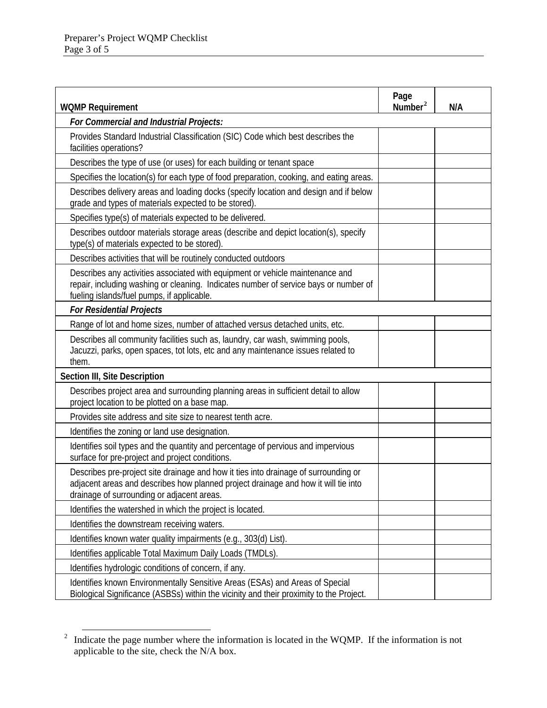| <b>WQMP Requirement</b>                                                                                                                                                                                                 | Page<br>Number <sup>2</sup> | N/A |
|-------------------------------------------------------------------------------------------------------------------------------------------------------------------------------------------------------------------------|-----------------------------|-----|
| For Commercial and Industrial Projects:                                                                                                                                                                                 |                             |     |
| Provides Standard Industrial Classification (SIC) Code which best describes the<br>facilities operations?                                                                                                               |                             |     |
| Describes the type of use (or uses) for each building or tenant space                                                                                                                                                   |                             |     |
| Specifies the location(s) for each type of food preparation, cooking, and eating areas.                                                                                                                                 |                             |     |
| Describes delivery areas and loading docks (specify location and design and if below<br>grade and types of materials expected to be stored).                                                                            |                             |     |
| Specifies type(s) of materials expected to be delivered.                                                                                                                                                                |                             |     |
| Describes outdoor materials storage areas (describe and depict location(s), specify<br>type(s) of materials expected to be stored).                                                                                     |                             |     |
| Describes activities that will be routinely conducted outdoors                                                                                                                                                          |                             |     |
| Describes any activities associated with equipment or vehicle maintenance and<br>repair, including washing or cleaning. Indicates number of service bays or number of<br>fueling islands/fuel pumps, if applicable.     |                             |     |
| <b>For Residential Projects</b>                                                                                                                                                                                         |                             |     |
| Range of lot and home sizes, number of attached versus detached units, etc.                                                                                                                                             |                             |     |
| Describes all community facilities such as, laundry, car wash, swimming pools,<br>Jacuzzi, parks, open spaces, tot lots, etc and any maintenance issues related to<br>them.                                             |                             |     |
| Section III, Site Description                                                                                                                                                                                           |                             |     |
| Describes project area and surrounding planning areas in sufficient detail to allow<br>project location to be plotted on a base map.                                                                                    |                             |     |
| Provides site address and site size to nearest tenth acre.                                                                                                                                                              |                             |     |
| Identifies the zoning or land use designation.                                                                                                                                                                          |                             |     |
| Identifies soil types and the quantity and percentage of pervious and impervious<br>surface for pre-project and project conditions.                                                                                     |                             |     |
| Describes pre-project site drainage and how it ties into drainage of surrounding or<br>adjacent areas and describes how planned project drainage and how it will tie into<br>drainage of surrounding or adjacent areas. |                             |     |
| Identifies the watershed in which the project is located.                                                                                                                                                               |                             |     |
| Identifies the downstream receiving waters.                                                                                                                                                                             |                             |     |
| Identifies known water quality impairments (e.g., 303(d) List).                                                                                                                                                         |                             |     |
| Identifies applicable Total Maximum Daily Loads (TMDLs).                                                                                                                                                                |                             |     |
| Identifies hydrologic conditions of concern, if any.                                                                                                                                                                    |                             |     |
| Identifies known Environmentally Sensitive Areas (ESAs) and Areas of Special<br>Biological Significance (ASBSs) within the vicinity and their proximity to the Project.                                                 |                             |     |

<span id="page-2-0"></span><sup>&</sup>lt;sup>2</sup> Indicate the page number where the information is located in the WQMP. If the information is not applicable to the site, check the N/A box.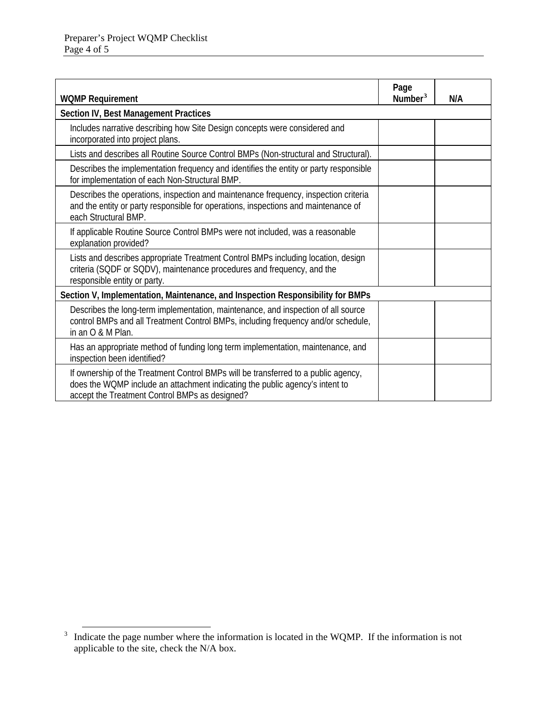| <b>WQMP Requirement</b>                                                                                                                                                                                              | Page<br>Number <sup>3</sup> | N/A |
|----------------------------------------------------------------------------------------------------------------------------------------------------------------------------------------------------------------------|-----------------------------|-----|
| Section IV, Best Management Practices                                                                                                                                                                                |                             |     |
| Includes narrative describing how Site Design concepts were considered and<br>incorporated into project plans.                                                                                                       |                             |     |
| Lists and describes all Routine Source Control BMPs (Non-structural and Structural).                                                                                                                                 |                             |     |
| Describes the implementation frequency and identifies the entity or party responsible<br>for implementation of each Non-Structural BMP.                                                                              |                             |     |
| Describes the operations, inspection and maintenance frequency, inspection criteria<br>and the entity or party responsible for operations, inspections and maintenance of<br>each Structural BMP.                    |                             |     |
| If applicable Routine Source Control BMPs were not included, was a reasonable<br>explanation provided?                                                                                                               |                             |     |
| Lists and describes appropriate Treatment Control BMPs including location, design<br>criteria (SQDF or SQDV), maintenance procedures and frequency, and the<br>responsible entity or party.                          |                             |     |
| Section V, Implementation, Maintenance, and Inspection Responsibility for BMPs                                                                                                                                       |                             |     |
| Describes the long-term implementation, maintenance, and inspection of all source<br>control BMPs and all Treatment Control BMPs, including frequency and/or schedule,<br>in an O & M Plan.                          |                             |     |
| Has an appropriate method of funding long term implementation, maintenance, and<br>inspection been identified?                                                                                                       |                             |     |
| If ownership of the Treatment Control BMPs will be transferred to a public agency,<br>does the WQMP include an attachment indicating the public agency's intent to<br>accept the Treatment Control BMPs as designed? |                             |     |

<span id="page-3-0"></span><sup>&</sup>lt;sup>3</sup> Indicate the page number where the information is located in the WQMP. If the information is not applicable to the site, check the N/A box.